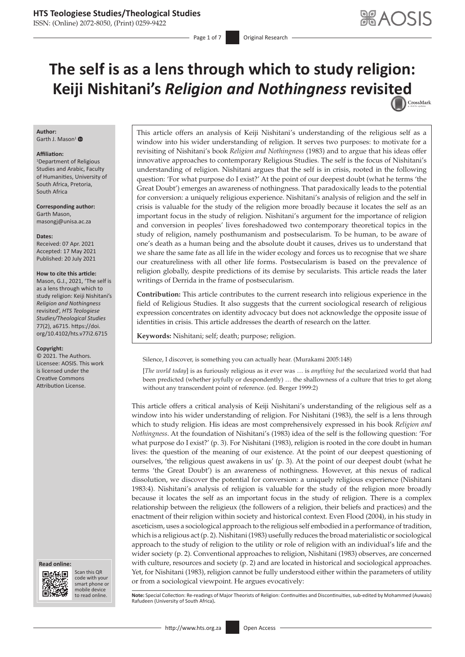ISSN: (Online) 2072-8050, (Print) 0259-9422

Page 1 of 7 **Original Research** 

# **The self is as a lens through which to study religion: Keiji Nishitani's** *Religion and Nothingness* **revisi[ted](http://crossmark.crossref.org/dialog/?doi=10.4102/hts.v77i2.6715=pdf&date_stamp=2021-07-20)** CrossMark

#### **Author:** Garth J. Mason<sup>[1](https://orcid.org/0000-0002-5713-3424)</sup> $\bullet$

#### **Affiliation:**

1 Department of Religious Studies and Arabic, Faculty of Humanities, University of South Africa, Pretoria, South Africa

**Corresponding author:** Garth Mason, [masongj@unisa.ac.za](mailto:masongj@unisa.ac.za)

**Dates:** Received: 07 Apr. 2021 Accepted: 17 May 2021 Published: 20 July 2021

#### **How to cite this article:**

Mason, G.J., 2021, 'The self is as a lens through which to study religion: Keiji Nishitani's *Religion and Nothingness* revisited', *HTS Teologiese Studies/Theological Studies* 77(2), a6715. [https://doi.](https://doi.org/10.4102/hts.v77i2.6715) [org/10.4102/hts.v77i2.6715](https://doi.org/10.4102/hts.v77i2.6715)

#### **Copyright:**

© 2021. The Authors. Licensee: AOSIS. This work is licensed under the Creative Commons Attribution License.





Scan this QR code with your Scan this QR<br>code with your<br>smart phone or<br>mobile device mobile device to read online.

This article offers an analysis of Keiji Nishitani's understanding of the religious self as a window into his wider understanding of religion. It serves two purposes: to motivate for a revisiting of Nishitani's book *Religion and Nothingness* (1983) and to argue that his ideas offer innovative approaches to contemporary Religious Studies. The self is the focus of Nishitani's understanding of religion. Nishitani argues that the self is in crisis, rooted in the following question: 'For what purpose do I exist?' At the point of our deepest doubt (what he terms 'the Great Doubt') emerges an awareness of nothingness. That paradoxically leads to the potential for conversion: a uniquely religious experience. Nishitani's analysis of religion and the self in crisis is valuable for the study of the religion more broadly because it locates the self as an important focus in the study of religion. Nishitani's argument for the importance of religion and conversion in peoples' lives foreshadowed two contemporary theoretical topics in the study of religion, namely posthumanism and postsecularism. To be human, to be aware of one's death as a human being and the absolute doubt it causes, drives us to understand that we share the same fate as all life in the wider ecology and forces us to recognise that we share our creatureliness with all other life forms. Postsecularism is based on the prevalence of religion globally, despite predictions of its demise by secularists. This article reads the later writings of Derrida in the frame of postsecularism.

**Contribution:** This article contributes to the current research into religious experience in the field of Religious Studies. It also suggests that the current sociological research of religious expression concentrates on identity advocacy but does not acknowledge the opposite issue of identities in crisis. This article addresses the dearth of research on the latter.

**Keywords:** Nishitani; self; death; purpose; religion.

Silence, I discover, is something you can actually hear. (Murakami 2005:148)

[*The world today*] is as furiously religious as it ever was … is *anything but* the secularized world that had been predicted (whether joyfully or despondently) … the shallowness of a culture that tries to get along without any transcendent point of reference. (ed. Berger 1999:2)

This article offers a critical analysis of Keiji Nishitani's understanding of the religious self as a window into his wider understanding of religion. For Nishitani (1983), the self is a lens through which to study religion. His ideas are most comprehensively expressed in his book *Religion and Nothingness*. At the foundation of Nishitani's (1983) idea of the self is the following question: 'For what purpose do I exist?' (p. 3). For Nishitani (1983), religion is rooted in the core doubt in human lives: the question of the meaning of our existence. At the point of our deepest questioning of ourselves, 'the religious quest awakens in us' (p. 3). At the point of our deepest doubt (what he terms 'the Great Doubt') is an awareness of nothingness. However, at this nexus of radical dissolution, we discover the potential for conversion: a uniquely religious experience (Nishitani 1983:4). Nishitani's analysis of religion is valuable for the study of the religion more broadly because it locates the self as an important focus in the study of religion. There is a complex relationship between the religieux (the followers of a religion, their beliefs and practices) and the enactment of their religion within society and historical context. Even Flood (2004), in his study in asceticism, uses a sociological approach to the religious self embodied in a performance of tradition, which is a religious act (p. 2). Nishitani (1983) usefully reduces the broad materialistic or sociological approach to the study of religion to the utility or role of religion with an individual's life and the wider society (p. 2). Conventional approaches to religion, Nishitani (1983) observes, are concerned with culture, resources and society (p. 2) and are located in historical and sociological approaches. Yet, for Nishitani (1983), religion cannot be fully understood either within the parameters of utility or from a sociological viewpoint. He argues evocatively:

Note: Special Collection: Re-readings of Major Theorists of Religion: Continuities and Discontinuities, sub-edited by Mohammed (Auwais) Rafudeen (University of South Africa)**.**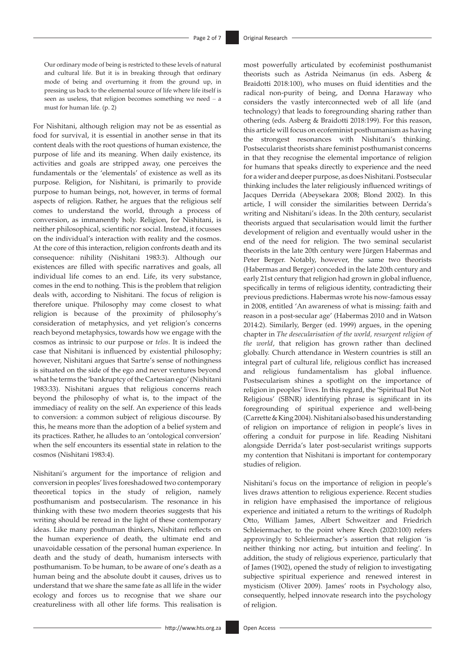Our ordinary mode of being is restricted to these levels of natural and cultural life. But it is in breaking through that ordinary mode of being and overturning it from the ground up, in pressing us back to the elemental source of life where life itself is seen as useless, that religion becomes something we need  $-$  a must for human life. (p. 2)

For Nishitani, although religion may not be as essential as food for survival, it is essential in another sense in that its content deals with the root questions of human existence, the purpose of life and its meaning. When daily existence, its activities and goals are stripped away, one perceives the fundamentals or the 'elementals' of existence as well as its purpose. Religion, for Nishitani, is primarily to provide purpose to human beings, not, however, in terms of formal aspects of religion. Rather, he argues that the religious self comes to understand the world, through a process of conversion, as immanently holy. Religion, for Nishitani, is neither philosophical, scientific nor social. Instead, it focusses on the individual's interaction with reality and the cosmos. At the core of this interaction, religion confronts death and its consequence: nihility (Nishitani 1983:3). Although our existences are filled with specific narratives and goals, all individual life comes to an end. Life, its very substance, comes in the end to nothing. This is the problem that religion deals with, according to Nishitani. The focus of religion is therefore unique. Philosophy may come closest to what religion is because of the proximity of philosophy's consideration of metaphysics, and yet religion's concerns reach beyond metaphysics, towards how we engage with the cosmos as intrinsic to our purpose or *telos*. It is indeed the case that Nishitani is influenced by existential philosophy; however, Nishitani argues that Sartre's sense of nothingness is situated on the side of the ego and never ventures beyond what he terms the 'bankruptcy of the Cartesian ego' (Nishitani 1983:33). Nishitani argues that religious concerns reach beyond the philosophy of what is, to the impact of the immediacy of reality on the self. An experience of this leads to conversion: a common subject of religious discourse. By this, he means more than the adoption of a belief system and its practices. Rather, he alludes to an 'ontological conversion' when the self encounters its essential state in relation to the cosmos (Nishitani 1983:4).

Nishitani's argument for the importance of religion and conversion in peoples' lives foreshadowed two contemporary theoretical topics in the study of religion, namely posthumanism and postsecularism. The resonance in his thinking with these two modern theories suggests that his writing should be reread in the light of these contemporary ideas. Like many posthuman thinkers, Nishitani reflects on the human experience of death, the ultimate end and unavoidable cessation of the personal human experience. In death and the study of death, humanism intersects with posthumanism. To be human, to be aware of one's death as a human being and the absolute doubt it causes, drives us to understand that we share the same fate as all life in the wider ecology and forces us to recognise that we share our creatureliness with all other life forms. This realisation is

most powerfully articulated by ecofeminist posthumanist theorists such as Astrida Neimanus (in eds. Asberg & Braidotti 2018:100), who muses on fluid identities and the radical non-purity of being, and Donna Haraway who considers the vastly interconnected web of all life (and technology) that leads to foregrounding sharing rather than othering (eds. Asberg & Braidotti 2018:199). For this reason, this article will focus on ecofeminist posthumanism as having the strongest resonances with Nishitani's thinking. Postsecularist theorists share feminist posthumanist concerns in that they recognise the elemental importance of religion for humans that speaks directly to experience and the need for a wider and deeper purpose, as does Nishitani. Postsecular thinking includes the later religiously influenced writings of Jacques Derrida (Abeysekara 2008; Blond 2002). In this article, I will consider the similarities between Derrida's writing and Nishitani's ideas. In the 20th century, secularist theorists argued that secularisation would limit the further development of religion and eventually would usher in the end of the need for religion. The two seminal secularist theorists in the late 20th century were Jürgen Habermas and Peter Berger. Notably, however, the same two theorists (Habermas and Berger) conceded in the late 20th century and early 21st century that religion had grown in global influence, specifically in terms of religious identity, contradicting their previous predictions. Habermas wrote his now-famous essay in 2008, entitled 'An awareness of what is missing: faith and reason in a post-secular age' (Habermas 2010 and in Watson 2014:2). Similarly, Berger (ed. 1999) argues, in the opening chapter in *The desecularisation of the world, resurgent religion of the world*, that religion has grown rather than declined globally. Church attendance in Western countries is still an integral part of cultural life, religious conflict has increased and religious fundamentalism has global influence. Postsecularism shines a spotlight on the importance of religion in peoples' lives. In this regard, the 'Spiritual But Not Religious' (SBNR) identifying phrase is significant in its foregrounding of spiritual experience and well-being (Carrette & King 2004). Nishitani also based his understanding of religion on importance of religion in people's lives in offering a conduit for purpose in life. Reading Nishitani alongside Derrida's later post-secularist writings supports my contention that Nishitani is important for contemporary studies of religion.

Nishitani's focus on the importance of religion in people's lives draws attention to religious experience. Recent studies in religion have emphasised the importance of religious experience and initiated a return to the writings of Rudolph Otto, William James, Albert Schweitzer and Friedrich Schleiermacher, to the point where Krech (2020:100) refers approvingly to Schleiermacher's assertion that religion 'is neither thinking nor acting, but intuition and feeling'. In addition, the study of religious experience, particularly that of James (1902), opened the study of religion to investigating subjective spiritual experience and renewed interest in mysticism (Oliver 2009). James' roots in Psychology also, consequently, helped innovate research into the psychology of religion.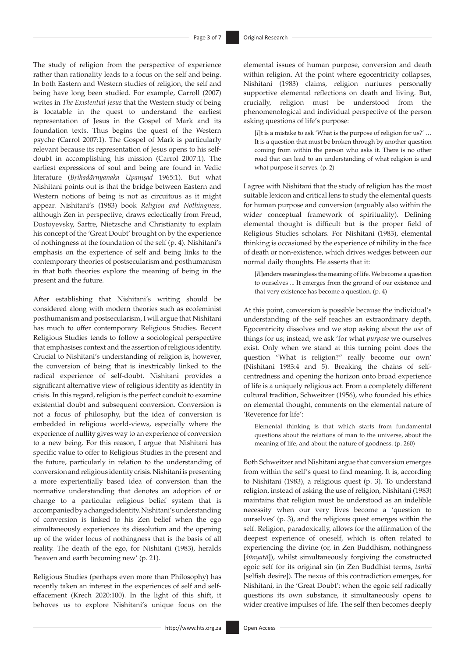The study of religion from the perspective of experience rather than rationality leads to a focus on the self and being. In both Eastern and Western studies of religion, the self and being have long been studied. For example, Carroll (2007) writes in *The Existential Jesus* that the Western study of being is locatable in the quest to understand the earliest representation of Jesus in the Gospel of Mark and its foundation texts. Thus begins the quest of the Western psyche (Carrol 2007:1). The Gospel of Mark is particularly relevant because its representation of Jesus opens to his selfdoubt in accomplishing his mission (Carrol 2007:1). The earliest expressions of soul and being are found in Vedic literature (*Bṛihadārnyanaka Upanișad* 1965:1). But what Nishitani points out is that the bridge between Eastern and Western notions of being is not as circuitous as it might appear. Nishitani's (1983) book *Religion and Nothingness,*  although Zen in perspective, draws eclectically from Freud, Dostoyevsky, Sartre, Nietzsche and Christianity to explain his concept of the 'Great Doubt' brought on by the experience of nothingness at the foundation of the self (p. 4)*.* Nishitani's emphasis on the experience of self and being links to the contemporary theories of postsecularism and posthumanism in that both theories explore the meaning of being in the present and the future.

After establishing that Nishitani's writing should be considered along with modern theories such as ecofeminist posthumanism and postsecularism, I will argue that Nishitani has much to offer contemporary Religious Studies. Recent Religious Studies tends to follow a sociological perspective that emphasises context and the assertion of religious identity. Crucial to Nishitani's understanding of religion is, however, the conversion of being that is inextricably linked to the radical experience of self-doubt. Nishitani provides a significant alternative view of religious identity as identity in crisis. In this regard, religion is the perfect conduit to examine existential doubt and subsequent conversion. Conversion is not a focus of philosophy, but the idea of conversion is embedded in religious world-views, especially where the experience of nullity gives way to an experience of conversion to a new being. For this reason, I argue that Nishitani has specific value to offer to Religious Studies in the present and the future, particularly in relation to the understanding of conversion and religious identity crisis. Nishitani is presenting a more experientially based idea of conversion than the normative understanding that denotes an adoption of or change to a particular religious belief system that is accompanied by a changed identity. Nishitani's understanding of conversion is linked to his Zen belief when the ego simultaneously experiences its dissolution and the opening up of the wider locus of nothingness that is the basis of all reality. The death of the ego, for Nishitani (1983), heralds 'heaven and earth becoming new' (p. 21).

Religious Studies (perhaps even more than Philosophy) has recently taken an interest in the experiences of self and selfeffacement (Krech 2020:100). In the light of this shift, it behoves us to explore Nishitani's unique focus on the

elemental issues of human purpose, conversion and death within religion. At the point where egocentricity collapses, Nishitani (1983) claims, religion nurtures personally supportive elemental reflections on death and living. But, crucially, religion must be understood from the phenomenological and individual perspective of the person asking questions of life's purpose:

[*I*]t is a mistake to ask 'What is the purpose of religion for us?' … It is a question that must be broken through by another question coming from within the person who asks it. There is no other road that can lead to an understanding of what religion is and what purpose it serves. (p. 2)

I agree with Nishitani that the study of religion has the most suitable lexicon and critical lens to study the elemental quests for human purpose and conversion (arguably also within the wider conceptual framework of spirituality). Defining elemental thought is difficult but is the proper field of Religious Studies scholars. For Nishitani (1983), elemental thinking is occasioned by the experience of nihility in the face of death or non-existence, which drives wedges between our normal daily thoughts. He asserts that it:

[*R*]enders meaningless the meaning of life. We become a question to ourselves ... It emerges from the ground of our existence and that very existence has become a question. (p. 4)

At this point, conversion is possible because the individual's understanding of the self reaches an extraordinary depth. Egocentricity dissolves and we stop asking about the *use* of things for us; instead, we ask 'for what *purpose* we ourselves exist. Only when we stand at this turning point does the question "What is religion?" really become our own' (Nishitani 1983:4 and 5). Breaking the chains of selfcentredness and opening the horizon onto broad experience of life is a uniquely religious act. From a completely different cultural tradition, Schweitzer (1956), who founded his ethics on elemental thought, comments on the elemental nature of 'Reverence for life':

Elemental thinking is that which starts from fundamental questions about the relations of man to the universe, about the meaning of life, and about the nature of goodness. (p. 260)

Both Schweitzer and Nishitani argue that conversion emerges from within the self's quest to find meaning. It is, according to Nishitani (1983), a religious quest (p. 3). To understand religion, instead of asking the use of religion, Nishitani (1983) maintains that religion must be understood as an indelible necessity when our very lives become a 'question to ourselves' (p. 3), and the religious quest emerges within the self. Religion, paradoxically, allows for the affirmation of the deepest experience of oneself, which is often related to experiencing the divine (or, in Zen Buddhism, nothingness [*śūnyatā*]), whilst simultaneously forgiving the constructed egoic self for its original sin (in Zen Buddhist terms, *tanhā* [selfish desire]). The nexus of this contradiction emerges, for Nishitani, in the 'Great Doubt': when the egoic self radically questions its own substance, it simultaneously opens to wider creative impulses of life. The self then becomes deeply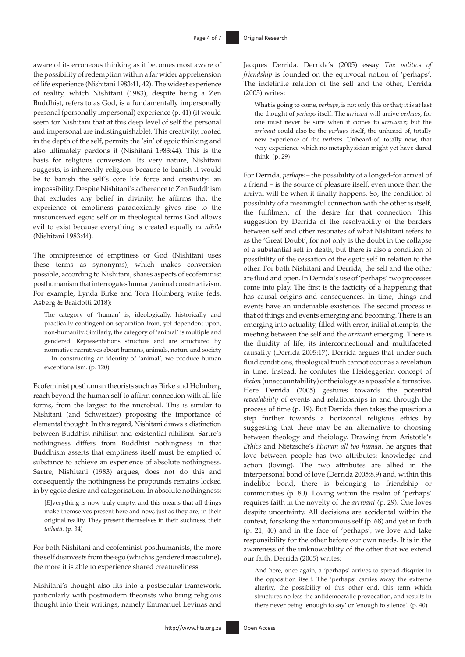aware of its erroneous thinking as it becomes most aware of the possibility of redemption within a far wider apprehension of life experience (Nishitani 1983:41, 42). The widest experience of reality, which Nishitani (1983), despite being a Zen Buddhist, refers to as God, is a fundamentally impersonally personal (personally impersonal) experience (p. 41) (it would seem for Nishitani that at this deep level of self the personal and impersonal are indistinguishable). This creativity, rooted in the depth of the self, permits the 'sin' of egoic thinking and also ultimately pardons it (Nishitani 1983:44). This is the basis for religious conversion. Its very nature, Nishitani suggests, is inherently religious because to banish it would be to banish the self's core life force and creativity: an impossibility. Despite Nishitani's adherence to Zen Buddhism that excludes any belief in divinity, he affirms that the experience of emptiness paradoxically gives rise to the misconceived egoic self or in theological terms God allows evil to exist because everything is created equally *ex nihilo* (Nishitani 1983:44).

The omnipresence of emptiness or God (Nishitani uses these terms as synonyms), which makes conversion possible, according to Nishitani, shares aspects of ecofeminist posthumanism that interrogates human/animal constructivism. For example, Lynda Birke and Tora Holmberg write (eds. Asberg & Braidotti 2018):

The category of 'human' is, ideologically, historically and practically contingent on separation from, yet dependent upon, non-humanity. Similarly, the category of 'animal' is multiple and gendered. Representations structure and are structured by normative narratives about humans, animals, nature and society ... In constructing an identity of 'animal', we produce human exceptionalism. (p. 120)

Ecofeminist posthuman theorists such as Birke and Holmberg reach beyond the human self to affirm connection with all life forms, from the largest to the microbial. This is similar to Nishitani (and Schweitzer) proposing the importance of elemental thought. In this regard, Nishitani draws a distinction between Buddhist nihilism and existential nihilism. Sartre's nothingness differs from Buddhist nothingness in that Buddhism asserts that emptiness itself must be emptied of substance to achieve an experience of absolute nothingness. Sartre, Nishitani (1983) argues, does not do this and consequently the nothingness he propounds remains locked in by egoic desire and categorisation. In absolute nothingness:

[*E*]verything is now truly empty, and this means that all things make themselves present here and now, just as they are, in their original reality. They present themselves in their suchness, their *tathatā*. (p. 34)

For both Nishitani and ecofeminist posthumanists, the more the self disinvests from the ego (which is gendered masculine), the more it is able to experience shared creatureliness.

Nishitani's thought also fits into a postsecular framework, particularly with postmodern theorists who bring religious thought into their writings, namely Emmanuel Levinas and

Jacques Derrida. Derrida's (2005) essay *The politics of friendship* is founded on the equivocal notion of 'perhaps'. The indefinite relation of the self and the other, Derrida (2005) writes:

What is going to come, *perhaps*, is not only this or that; it is at last the thought of *perhaps* itself. The *arrivant* will arrive *perhaps*, for one must never be sure when it comes to *arrivance*; but the *arrivant* could also be the *perhaps* itself, the unheard-of, totally new experience of the *perhaps*. Unheard-of, totally new, that very experience which no metaphysician might yet have dared think. (p. 29)

For Derrida, *perhaps* – the possibility of a longed-for arrival of a friend – is the source of pleasure itself, even more than the arrival will be when it finally happens. So, the condition of possibility of a meaningful connection with the other is itself, the fulfilment of the desire for that connection. This suggestion by Derrida of the resolvability of the borders between self and other resonates of what Nishitani refers to as the 'Great Doubt', for not only is the doubt in the collapse of a substantial self in death, but there is also a condition of possibility of the cessation of the egoic self in relation to the other. For both Nishitani and Derrida, the self and the other are fluid and open. In Derrida's use of 'perhaps' two processes come into play. The first is the facticity of a happening that has causal origins and consequences. In time, things and events have an undeniable existence. The second process is that of things and events emerging and becoming. There is an emerging into actuality, filled with error, initial attempts, the meeting between the self and the *arrivant* emerging. There is the fluidity of life, its interconnectional and multifaceted causality (Derrida 2005:17). Derrida argues that under such fluid conditions, theological truth cannot occur as a revelation in time. Instead, he confutes the Heideggerian concept of *theion* (unaccountability) or theiology as a possible alternative. Here Derrida (2005) gestures towards the potential *revealability* of events and relationships in and through the process of time (p. 19). But Derrida then takes the question a step further towards a horizontal religious ethics by suggesting that there may be an alternative to choosing between theology and theiology. Drawing from Aristotle's *Ethics* and Nietzsche's *Human all too human*, he argues that love between people has two attributes: knowledge and action (loving). The two attributes are allied in the interpersonal bond of love (Derrida 2005:8,9) and, within this indelible bond, there is belonging to friendship or communities (p. 80). Loving within the realm of 'perhaps' requires faith in the novelty of the *arrivant* (p. 29). One loves despite uncertainty. All decisions are accidental within the context, forsaking the autonomous self (p. 68) and yet in faith (p. 21, 40) and in the face of 'perhaps', we love and take responsibility for the other before our own needs. It is in the awareness of the unknowability of the other that we extend our faith. Derrida (2005) writes:

And here, once again, a 'perhaps' arrives to spread disquiet in the opposition itself. The 'perhaps' carries away the extreme alterity, the possibility of this other end, this term which structures no less the antidemocratic provocation, and results in there never being 'enough to say' or 'enough to silence'. (p. 40)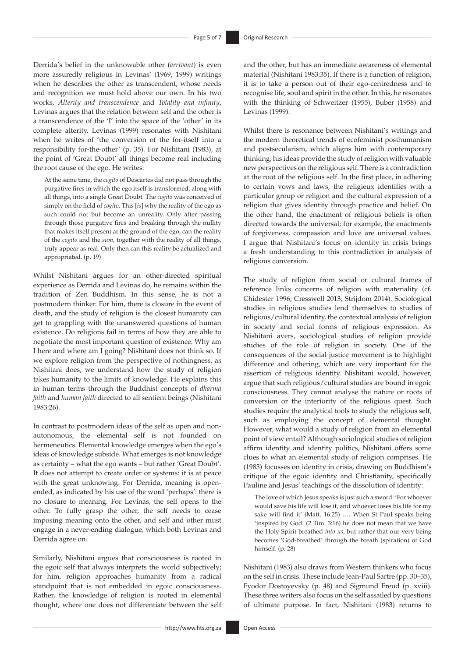Derrida's belief in the unknowable other (*arrivant*) is even more assuredly religious in Levinas' (1969, 1999) writings when he describes the other as transcendent, whose needs and recognition we must hold above our own. In his two works, *Alterity and transcendence* and *Totality and infinity*, Levinas argues that the relation between self and the other is a transcendence of the 'I' into the space of the 'other' in its complete alterity. Levinas (1999) resonates with Nishitani when he writes of 'the conversion of the for-itself into a responsibility for-the-other' (p. 35). For Nishitani (1983), at the point of 'Great Doubt' all things become real including the root cause of the ego. He writes:

At the same time, the *cogito* of Descartes did not pass through the purgative fires in which the ego itself is transformed, along with all things, into a single Great Doubt. The *cogito* was conceived of simply on the field of *cogito*. This [*is*] why the reality of the ego as such could not but become an unreality. Only after passing through those purgative fires and breaking through the nullity that makes itself present at the ground of the ego, can the reality of the *cogito* and the *sum*, together with the reality of all things, truly appear as real. Only then can this reality be actualized and appropriated. (p. 19)

Whilst Nishitani argues for an other-directed spiritual experience as Derrida and Levinas do, he remains within the tradition of Zen Buddhism. In this sense, he is not a postmodern thinker. For him, there is closure in the event of death, and the study of religion is the closest humanity can get to grappling with the unanswered questions of human existence. Do religions fail in terms of how they are able to negotiate the most important question of existence: Why am I here and where am I going? Nishitani does not think so. If we explore religion from the perspective of nothingness, as Nishitani does, we understand how the study of religion takes humanity to the limits of knowledge. He explains this in human terms through the Buddhist concepts of *dharma faith* and *human faith* directed to all sentient beings (Nishitani 1983:26).

In contrast to postmodern ideas of the self as open and nonautonomous, the elemental self is not founded on hermeneutics. Elemental knowledge emerges when the ego's ideas of knowledge subside. What emerges is not knowledge as certainty – what the ego wants – but rather 'Great Doubt'. It does not attempt to create order or systems: it is at peace with the great unknowing. For Derrida, meaning is openended, as indicated by his use of the word 'perhaps': there is no closure to meaning. For Levinas, the self opens to the other. To fully grasp the other, the self needs to cease imposing meaning onto the other, and self and other must engage in a never-ending dialogue, which both Levinas and Derrida agree on.

Similarly, Nishitani argues that consciousness is rooted in the egoic self that always interprets the world subjectively; for him, religion approaches humanity from a radical standpoint that is not embedded in egoic consciousness. Rather, the knowledge of religion is rooted in elemental thought, where one does not differentiate between the self

and the other, but has an immediate awareness of elemental material (Nishitani 1983:35). If there is a function of religion, it is to take a person out of their ego-centredness and to recognise life, soul and spirit in the other. In this, he resonates with the thinking of Schweitzer (1955), Buber (1958) and Levinas (1999).

Whilst there is resonance between Nishitani's writings and the modern theoretical trends of ecofeminist posthumanism and postsecularism, which aligns him with contemporary thinking, his ideas provide the study of religion with valuable new perspectives on the religious self. There is a contradiction at the root of the religious self. In the first place, in adhering to certain vows and laws, the religieux identifies with a particular group or religion and the cultural expression of a religion that gives identity through practice and belief. On the other hand, the enactment of religious beliefs is often directed towards the universal; for example, the enactments of forgiveness, compassion and love are universal values. I argue that Nishitani's focus on identity in crisis brings a fresh understanding to this contradiction in analysis of religious conversion.

The study of religion from social or cultural frames of reference links concerns of religion with materiality (cf. Chidester 1996; Cresswell 2013; Strijdom 2014). Sociological studies in religious studies lend themselves to studies of religious/cultural identity, the contextual analysis of religion in society and social forms of religious expression. As Nishitani avers, sociological studies of religion provide studies of the role of religion in society. One of the consequences of the social justice movement is to highlight difference and othering, which are very important for the assertion of religious identity. Nishitani would, however, argue that such religious/cultural studies are bound in egoic consciousness. They cannot analyse the nature or roots of conversion or the interiority of the religious quest. Such studies require the analytical tools to study the religious self, such as employing the concept of elemental thought. However, what would a study of religion from an elemental point of view entail? Although sociological studies of religion affirm identity and identity politics, Nishitani offers some clues to what an elemental study of religion comprises. He (1983) focusses on identity in crisis, drawing on Buddhism's critique of the egoic identity and Christianity, specifically Pauline and Jesus' teachings of the dissolution of identity:

The love of which Jesus speaks is just such a sword: 'For whoever would save his life will lose it, and whoever loses his life for my sake will find it' (Matt. 16:25) …. When St Paul speaks being 'inspired by God' (2 Tim. 3:16) he does not mean that we have the Holy Spirit breathed *into us*, but rather that our very being becomes 'God-breathed' through the breath (spiration) of God himself. (p. 28)

Nishitani (1983) also draws from Western thinkers who focus on the self in crisis. These include Jean-Paul Sartre (pp. 30–35), Fyodor Dostoyevsky (p. 48) and Sigmund Freud (p. xviii). These three writers also focus on the self assailed by questions of ultimate purpose. In fact, Nishitani (1983) returns to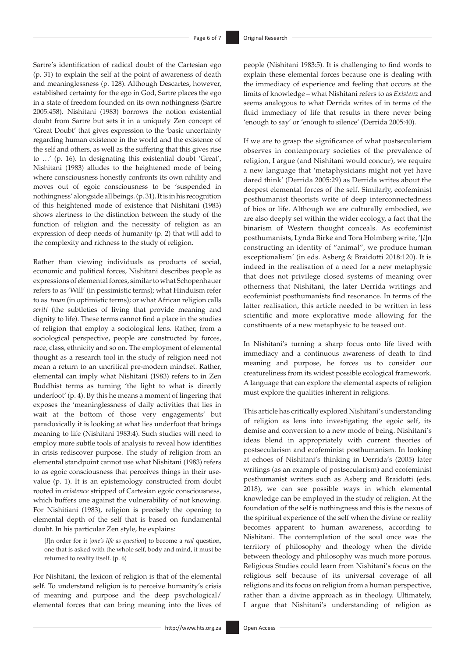Sartre's identification of radical doubt of the Cartesian ego (p. 31) to explain the self at the point of awareness of death and meaninglessness (p. 128). Although Descartes, however, established certainty for the ego in God, Sartre places the ego in a state of freedom founded on its own nothingness (Sartre 2005:458). Nishitani (1983) borrows the notion existential doubt from Sartre but sets it in a uniquely Zen concept of 'Great Doubt' that gives expression to the 'basic uncertainty regarding human existence in the world and the existence of the self and others, as well as the suffering that this gives rise to …' (p. 16). In designating this existential doubt 'Great', Nishitani (1983) alludes to the heightened mode of being where consciousness honestly confronts its own nihility and moves out of egoic consciousness to be 'suspended in nothingness' alongside all beings. (p. 31). It is in his recognition of this heightened mode of existence that Nishitani (1983) shows alertness to the distinction between the study of the function of religion and the necessity of religion as an expression of deep needs of humanity (p. 2) that will add to the complexity and richness to the study of religion.

Rather than viewing individuals as products of social, economic and political forces, Nishitani describes people as expressions of elemental forces, similar to what Schopenhauer refers to as 'Will' (in pessimistic terms); what Hinduism refer to as *tman* (in optimistic terms); or what African religion calls *seriti* (the subtleties of living that provide meaning and dignity to life). These terms cannot find a place in the studies of religion that employ a sociological lens. Rather, from a sociological perspective, people are constructed by forces, race, class, ethnicity and so on. The employment of elemental thought as a research tool in the study of religion need not mean a return to an uncritical pre-modern mindset. Rather, elemental can imply what Nishitani (1983) refers to in Zen Buddhist terms as turning 'the light to what is directly underfoot' (p. 4). By this he means a moment of lingering that exposes the 'meaninglessness of daily activities that lies in wait at the bottom of those very engagements' but paradoxically it is looking at what lies underfoot that brings meaning to life (Nishitani 1983:4). Such studies will need to employ more subtle tools of analysis to reveal how identities in crisis rediscover purpose. The study of religion from an elemental standpoint cannot use what Nishitani (1983) refers to as egoic consciousness that perceives things in their usevalue (p. 1). It is an epistemology constructed from doubt rooted in *existence* stripped of Cartesian egoic consciousness, which buffers one against the vulnerability of not knowing*.*  For Nishitiani (1983), religion is precisely the opening to elemental depth of the self that is based on fundamental doubt. In his particular Zen style, he explains:

[*I*]n order for it [*one's life as question*] to become a *real* question, one that is asked with the whole self, body and mind, it must be returned to reality itself. (p. 6)

For Nishitani, the lexicon of religion is that of the elemental self. To understand religion is to perceive humanity's crisis of meaning and purpose and the deep psychological/ elemental forces that can bring meaning into the lives of people (Nishitani 1983:5). It is challenging to find words to explain these elemental forces because one is dealing with the immediacy of experience and feeling that occurs at the limits of knowledge – what Nishitani refers to as *Existenz* and seems analogous to what Derrida writes of in terms of the fluid immediacy of life that results in there never being 'enough to say' or 'enough to silence' (Derrida 2005:40).

If we are to grasp the significance of what postsecularism observes in contemporary societies of the prevalence of religion, I argue (and Nishitani would concur), we require a new language that 'metaphysicians might not yet have dared think' (Derrida 2005:29) as Derrida writes about the deepest elemental forces of the self. Similarly, ecofeminist posthumanist theorists write of deep interconnectedness of bios or life. Although we are culturally embodied, we are also deeply set within the wider ecology, a fact that the binarism of Western thought conceals. As ecofeminist posthumanists, Lynda Birke and Tora Holmberg write, '[*i*]n constructing an identity of "animal", we produce human exceptionalism' (in eds. Asberg & Braidotti 2018:120). It is indeed in the realisation of a need for a new metaphysic that does not privilege closed systems of meaning over otherness that Nishitani, the later Derrida writings and ecofeminist posthumanists find resonance. In terms of the latter realisation, this article needed to be written in less scientific and more explorative mode allowing for the constituents of a new metaphysic to be teased out.

In Nishitani's turning a sharp focus onto life lived with immediacy and a continuous awareness of death to find meaning and purpose, he forces us to consider our creatureliness from its widest possible ecological framework. A language that can explore the elemental aspects of religion must explore the qualities inherent in religions.

This article has critically explored Nishitani's understanding of religion as lens into investigating the egoic self, its demise and conversion to a new mode of being. Nishitani's ideas blend in appropriately with current theories of postsecularism and ecofeminist posthumanism. In looking at echoes of Nishitani's thinking in Derrida's (2005) later writings (as an example of postsecularism) and ecofeminist posthumanist writers such as Asberg and Braidotti (eds. 2018), we can see possible ways in which elemental knowledge can be employed in the study of religion. At the foundation of the self is nothingness and this is the nexus of the spiritual experience of the self when the divine or reality becomes apparent to human awareness, according to Nishitani. The contemplation of the soul once was the territory of philosophy and theology when the divide between theology and philosophy was much more porous. Religious Studies could learn from Nishitani's focus on the religious self because of its universal coverage of all religions and its focus on religion from a human perspective, rather than a divine approach as in theology. Ultimately, I argue that Nishitani's understanding of religion as